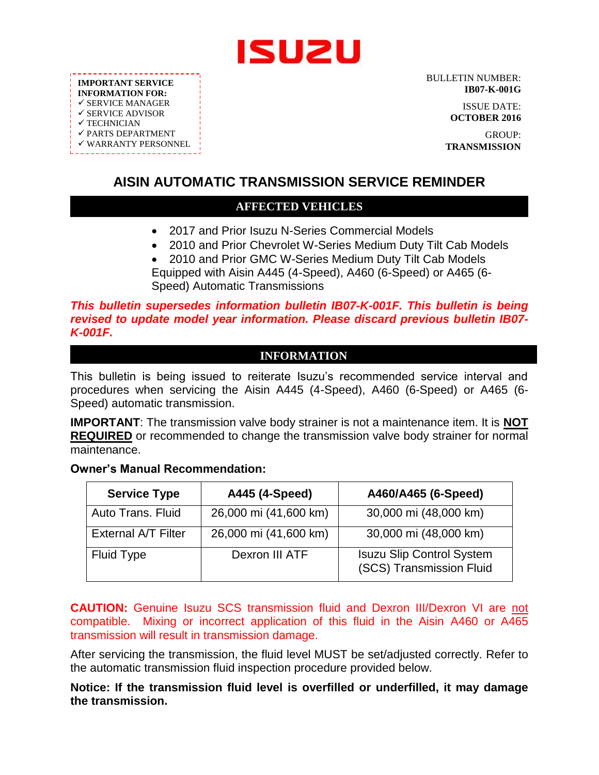

**IMPORTANT SERVICE INFORMATION FOR:**  $\checkmark$  SERVICE MANAGER  $\checkmark$  SERVICE ADVISOR  $\checkmark$  TECHNICIAN  $\checkmark$  PARTS DEPARTMENT WARRANTY PERSONNEL

BULLETIN NUMBER: **IB07-K-001G**

> ISSUE DATE: **OCTOBER 2016**

GROUP: **TRANSMISSION**

# **AISIN AUTOMATIC TRANSMISSION SERVICE REMINDER**

### **AFFECTED VEHICLES**

- 2017 and Prior Isuzu N-Series Commercial Models
- 2010 and Prior Chevrolet W-Series Medium Duty Tilt Cab Models 2010 and Prior GMC W-Series Medium Duty Tilt Cab Models
- Equipped with Aisin A445 (4-Speed), A460 (6-Speed) or A465 (6- Speed) Automatic Transmissions

*This bulletin supersedes information bulletin IB07-K-001F. This bulletin is being revised to update model year information. Please discard previous bulletin IB07- K-001F.*

### **INFORMATION**

This bulletin is being issued to reiterate Isuzu's recommended service interval and procedures when servicing the Aisin A445 (4-Speed), A460 (6-Speed) or A465 (6- Speed) automatic transmission.

**IMPORTANT**: The transmission valve body strainer is not a maintenance item. It is **NOT REQUIRED** or recommended to change the transmission valve body strainer for normal maintenance.

#### **Owner's Manual Recommendation:**

| <b>Service Type</b>        | A445 (4-Speed)        | A460/A465 (6-Speed)                                          |
|----------------------------|-----------------------|--------------------------------------------------------------|
| Auto Trans. Fluid          | 26,000 mi (41,600 km) | 30,000 mi (48,000 km)                                        |
| <b>External A/T Filter</b> | 26,000 mi (41,600 km) | 30,000 mi (48,000 km)                                        |
| <b>Fluid Type</b>          | Dexron III ATF        | <b>Isuzu Slip Control System</b><br>(SCS) Transmission Fluid |

**CAUTION:** Genuine Isuzu SCS transmission fluid and Dexron III/Dexron VI are not compatible. Mixing or incorrect application of this fluid in the Aisin A460 or A465 transmission will result in transmission damage.

After servicing the transmission, the fluid level MUST be set/adjusted correctly. Refer to the automatic transmission fluid inspection procedure provided below.

**Notice: If the transmission fluid level is overfilled or underfilled, it may damage the transmission.**